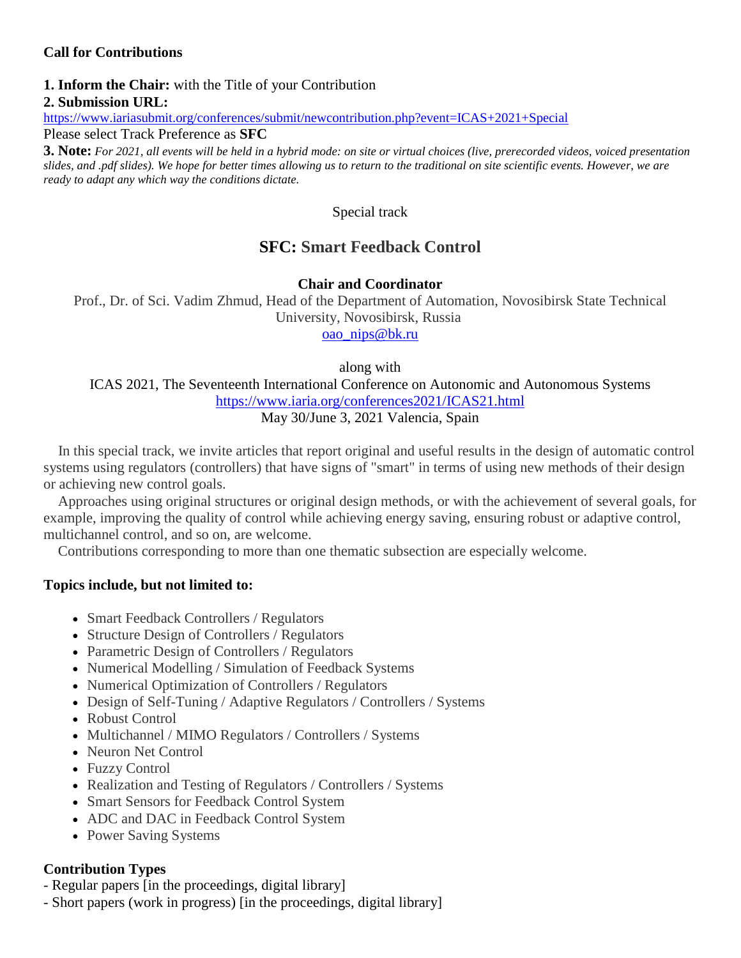# **Call for Contributions**

## **1. Inform the Chair:** with the Title of your Contribution **2. Submission URL:**

<https://www.iariasubmit.org/conferences/submit/newcontribution.php?event=ICAS+2021+Special>

Please select Track Preference as **SFC**

**3. Note:** *For 2021, all events will be held in a hybrid mode: on site or virtual choices (live, prerecorded videos, voiced presentation slides, and .pdf slides). We hope for better times allowing us to return to the traditional on site scientific events. However, we are ready to adapt any which way the conditions dictate.*

Special track

# **SFC: Smart Feedback Control**

**Chair and Coordinator**

Prof., Dr. of Sci. Vadim Zhmud, Head of the Department of Automation, Novosibirsk State Technical University, Novosibirsk, Russia

[oao\\_nips@bk.ru](mailto:oao_nips@bk.ru)

along with

ICAS 2021, The Seventeenth International Conference on Autonomic and Autonomous Systems <https://www.iaria.org/conferences2021/ICAS21.html> May 30/June 3, 2021 Valencia, Spain

In this special track, we invite articles that report original and useful results in the design of automatic control systems using regulators (controllers) that have signs of "smart" in terms of using new methods of their design or achieving new control goals.

Approaches using original structures or original design methods, or with the achievement of several goals, for example, improving the quality of control while achieving energy saving, ensuring robust or adaptive control, multichannel control, and so on, are welcome.

Contributions corresponding to more than one thematic subsection are especially welcome.

## **Topics include, but not limited to:**

- Smart Feedback Controllers / Regulators
- Structure Design of Controllers / Regulators
- Parametric Design of Controllers / Regulators
- Numerical Modelling / Simulation of Feedback Systems
- Numerical Optimization of Controllers / Regulators
- Design of Self-Tuning / Adaptive Regulators / Controllers / Systems
- Robust Control
- Multichannel / MIMO Regulators / Controllers / Systems
- Neuron Net Control
- Fuzzy Control
- Realization and Testing of Regulators / Controllers / Systems
- Smart Sensors for Feedback Control System
- ADC and DAC in Feedback Control System
- Power Saving Systems

## **Contribution Types**

- Regular papers [in the proceedings, digital library]
- Short papers (work in progress) [in the proceedings, digital library]